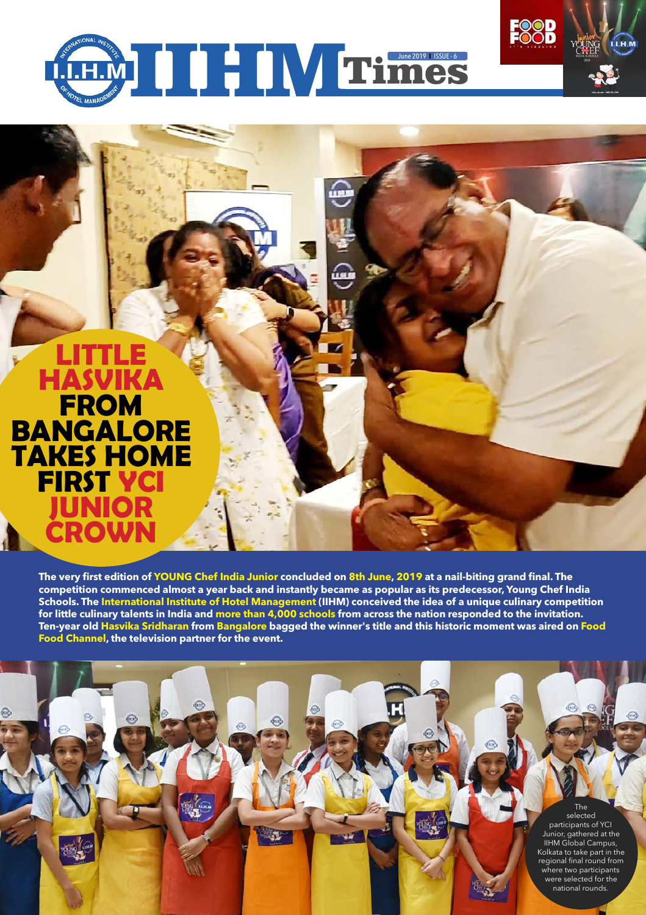

### **Little Hasvika from Bangalore takes home first YCI Junior crown**

**The very first edition of YOUNG Chef India Junior concluded on 8th June, 2019 at a nail-biting grand final. The competition commenced almost a year back and instantly became as popular as its predecessor, Young Chef India Schools. The International Institute of Hotel Management (IIHM) conceived the idea of a unique culinary competition for little culinary talents in India and more than 4,000 schools from across the nation responded to the invitation. Ten-year old Hasvika Sridharan from Bangalore bagged the winner's title and this historic moment was aired on Food Food Channel, the television partner for the event.**

€

The selected participants of YCI Junior, gathered at the IIHM Global Campus, Kolkata to take part in the regional final round from where two participants were selected for the national rounds.

**FOOD**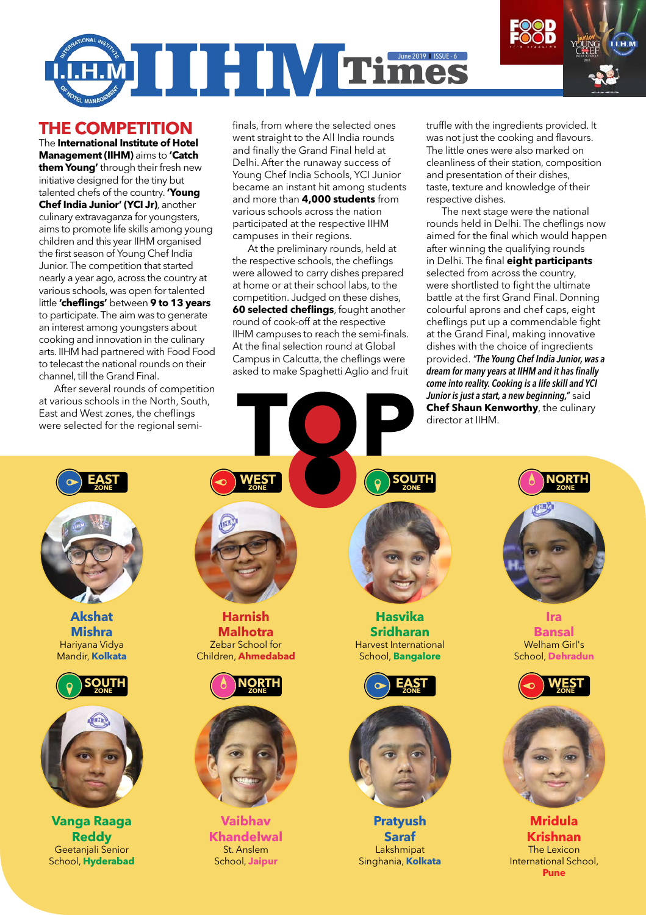# **INTERNATIONAL PROPERTY AND INCOME ASSUE -6**

#### **THE COMPETITION**

The **International Institute of Hotel Management (IIHM)** aims to **'Catch them Young'** through their fresh new initiative designed for the tiny but talented chefs of the country. **'Young Chef India Junior' (YCI Jr)**, another culinary extravaganza for youngsters, aims to promote life skills among young children and this year IIHM organised the first season of Young Chef India Junior. The competition that started nearly a year ago, across the country at various schools, was open for talented little **'cheflings'** between **9 to 13 years**  to participate. The aim was to generate an interest among youngsters about cooking and innovation in the culinary arts. IIHM had partnered with Food Food to telecast the national rounds on their channel, till the Grand Final.

After several rounds of competition at various schools in the North, South, East and West zones, the cheflings were selected for the regional semi-

finals, from where the selected ones went straight to the All India rounds and finally the Grand Final held at Delhi. After the runaway success of Young Chef India Schools, YCI Junior became an instant hit among students and more than **4,000 students** from various schools across the nation participated at the respective IIHM campuses in their regions.

At the preliminary rounds, held at the respective schools, the cheflings were allowed to carry dishes prepared at home or at their school labs, to the competition. Judged on these dishes, **60 selected cheflings**, fought another round of cook-off at the respective IIHM campuses to reach the semi-finals. At the final selection round at Global Campus in Calcutta, the cheflings were asked to make Spaghetti Aglio and fruit

truffle with the ingredients provided. It was not just the cooking and flavours. The little ones were also marked on cleanliness of their station, composition and presentation of their dishes, taste, texture and knowledge of their respective dishes.

The next stage were the national rounds held in Delhi. The cheflings now aimed for the final which would happen after winning the qualifying rounds in Delhi. The final **eight participants**  selected from across the country, were shortlisted to fight the ultimate battle at the first Grand Final. Donning colourful aprons and chef caps, eight cheflings put up a commendable fight at the Grand Final, making innovative dishes with the choice of ingredients provided. *"The Young Chef India Junior, was a dream for many years at IIHM and it has finally come into reality. Cooking is a life skill and YCI Junior is just a start, a new beginning,"* said **Chef Shaun Kenworthy**, the culinary director at IIHM.



**Akshat Mishra** Hariyana Vidya Mandir, **Kolkata**





**Vanga Raaga Reddy** Geetanjali Senior School, **Hyderabad** 

**Harnish Malhotra** Zebar School for

**WEST ZONE**



Children, **Ahmedabad**



**Vaibhav Khandelwal** St. Anslem School, **Jaipur**

**Hasvika Sridharan** Harvest International School, **Bangalore**





**Pratyush Saraf** Lakshmipat Singhania, **Kolkata**



**Ira Bansal** Welham Girl's School, **Dehradun**





**Mridula Krishnan** The Lexicon International School, **Pune**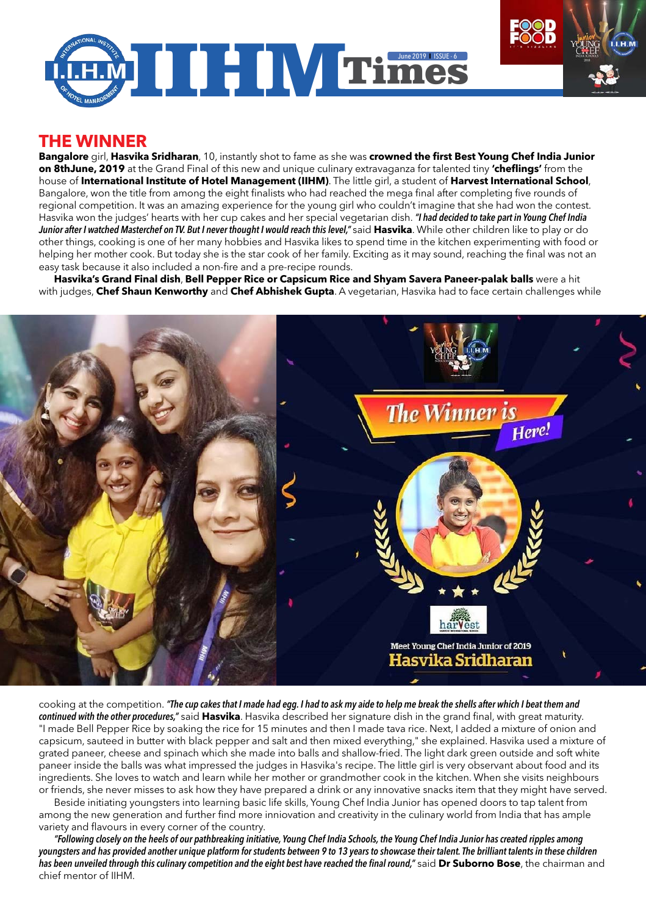

#### **THE WINNER**

**Bangalore** girl, **Hasvika Sridharan**, 10, instantly shot to fame as she was **crowned the first Best Young Chef India Junior on 8thJune, 2019** at the Grand Final of this new and unique culinary extravaganza for talented tiny **'cheflings'** from the house of **International Institute of Hotel Management (IIHM)**. The little girl, a student of **Harvest International School**, Bangalore, won the title from among the eight finalists who had reached the mega final after completing five rounds of regional competition. It was an amazing experience for the young girl who couldn't imagine that she had won the contest. Hasvika won the judges' hearts with her cup cakes and her special vegetarian dish. *"I had decided to take part in Young Chef India Junior after I watched Masterchef on TV. But I never thought I would reach this level,"* said **Hasvika**. While other children like to play or do other things, cooking is one of her many hobbies and Hasvika likes to spend time in the kitchen experimenting with food or helping her mother cook. But today she is the star cook of her family. Exciting as it may sound, reaching the final was not an easy task because it also included a non-fire and a pre-recipe rounds.

**Hasvika's Grand Final dish**, **Bell Pepper Rice or Capsicum Rice and Shyam Savera Paneer-palak balls** were a hit with judges, **Chef Shaun Kenworthy** and **Chef Abhishek Gupta**. A vegetarian, Hasvika had to face certain challenges while



cooking at the competition. *"The cup cakes that I made had egg. I had to ask my aide to help me break the shells after which I beat them and continued with the other procedures,"* said **Hasvika**. Hasvika described her signature dish in the grand final, with great maturity. "I made Bell Pepper Rice by soaking the rice for 15 minutes and then I made tava rice. Next, I added a mixture of onion and capsicum, sauteed in butter with black pepper and salt and then mixed everything," she explained. Hasvika used a mixture of grated paneer, cheese and spinach which she made into balls and shallow-fried. The light dark green outside and soft white paneer inside the balls was what impressed the judges in Hasvika's recipe. The little girl is very observant about food and its ingredients. She loves to watch and learn while her mother or grandmother cook in the kitchen. When she visits neighbours or friends, she never misses to ask how they have prepared a drink or any innovative snacks item that they might have served.

Beside initiating youngsters into learning basic life skills, Young Chef India Junior has opened doors to tap talent from among the new generation and further find more inniovation and creativity in the culinary world from India that has ample variety and flavours in every corner of the country.

*"Following closely on the heels of our pathbreaking initiative, Young Chef India Schools, the Young Chef India Junior has created ripples among youngsters and has provided another unique platform for students between 9 to 13 years to showcase their talent. The brilliant talents in these children has been unveiled through this culinary competition and the eight best have reached the final round,"* said **Dr Suborno Bose**, the chairman and chief mentor of IIHM.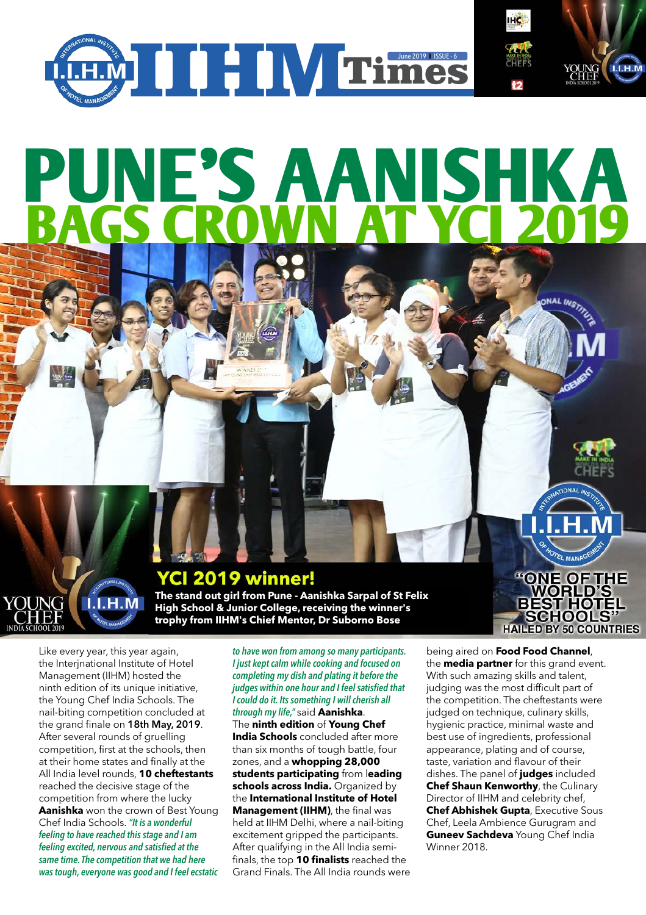

## **Pune's AAnishka bags crown at YCI 2019**

#### **YCI 2019 winner!**

**The stand out girl from Pune - Aanishka Sarpal of St Felix High School & Junior College, receiving the winner's trophy from IIHM's Chief Mentor, Dr Suborno Bose**

Like every year, this year again, the Interjnational Institute of Hotel Management (IIHM) hosted the ninth edition of its unique initiative, the Young Chef India Schools. The nail-biting competition concluded at the grand finale on 18th May, 2019. After several rounds of gruelling competition, first at the schools, then at their home states and finally at the All India level rounds, **10 cheftestants** reached the decisive stage of the competition from where the lucky **Aanishka** won the crown of Best Young Chef India Schools. *"It is a wonderful feeling to have reached this stage and I am feeling excited, nervous and satisfied at the same time. The competition that we had here was tough, everyone was good and I feel ecstatic* 

 $L.H.M$ 

*to have won from among so many participants. I just kept calm while cooking and focused on completing my dish and plating it before the judges within one hour and I feel satisfied that I could do it. Its something I will cherish all through my life,"* said **Aanishka**. The **ninth edition** of **Young Chef India Schools** concluded after more than six months of tough battle, four zones, and a **whopping 28,000 students participating** from l**eading schools across India.** Organized by the **International Institute of Hotel Management (IIHM)**, the final was held at IIHM Delhi, where a nail-biting excitement gripped the participants. After qualifying in the All India semifinals, the top **10 finalists** reached the Grand Finals. The All India rounds were

being aired on **Food Food Channel**, the **media partner** for this grand event. With such amazing skills and talent, judging was the most difficult part of the competition. The cheftestants were judged on technique, culinary skills, hygienic practice, minimal waste and best use of ingredients, professional appearance, plating and of course, taste, variation and flavour of their dishes. The panel of **judges** included **Chef Shaun Kenworthy**, the Culinary Director of IIHM and celebrity chef, **Chef Abhishek Gupta**, Executive Sous Chef, Leela Ambience Gurugram and **Guneev Sachdeva** Young Chef India Winner 2018.

ATIONAL

**DAEL MANAG** 

"ONE OF THE **WORLD'S** 

**BEST HOTEL SCHOOLS HAILED BY 50 COUNTRIES**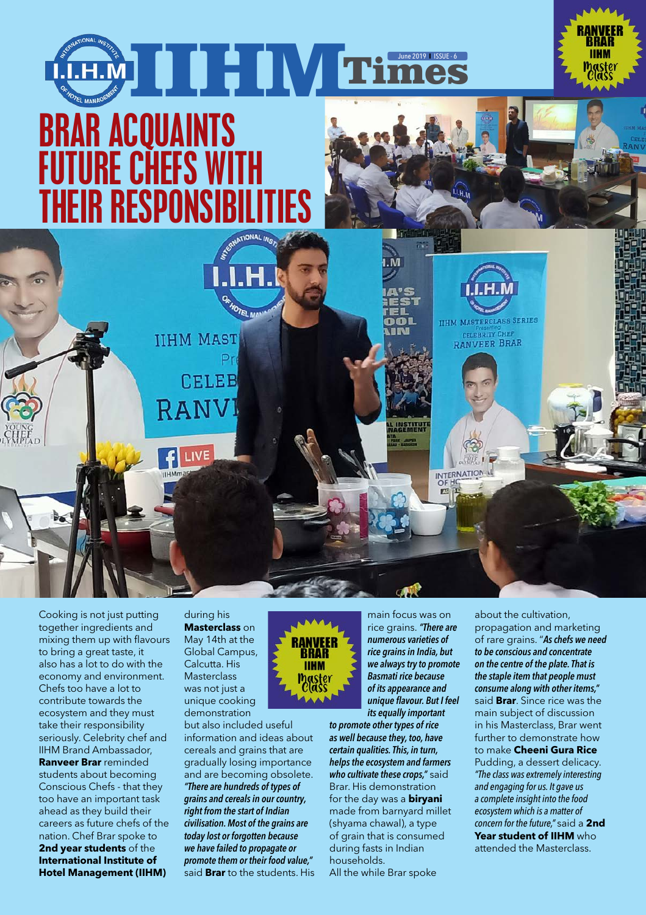

**IIHM** 

Cooking is not just putting together ingredients and mixing them up with flavours to bring a great taste, it also has a lot to do with the economy and environment. Chefs too have a lot to contribute towards the ecosystem and they must take their responsibility seriously. Celebrity chef and IIHM Brand Ambassador, **Ranveer Brar** reminded students about becoming Conscious Chefs - that they too have an important task ahead as they build their careers as future chefs of the nation. Chef Brar spoke to **2nd year students** of the **International Institute of Hotel Management (IIHM)** 

during his **Masterclass** on May 14th at the Global Campus, Calcutta. His **Masterclass** was not just a unique cooking demonstration

but also included useful information and ideas about cereals and grains that are gradually losing importance and are becoming obsolete. *"There are hundreds of types of grains and cereals in our country, right from the start of Indian civilisation. Most of the grains are today lost or forgotten because we have failed to propagate or promote them or their food value,"* said **Brar** to the students. His

main focus was on rice grains. *"There are numerous varieties of rice grains in India, but we always try to promote Basmati rice because of its appearance and unique flavour. But I feel its equally important* 

*to promote other types of rice as well because they, too, have certain qualities. This, in turn, helps the ecosystem and farmers who cultivate these crops,"* said Brar. His demonstration for the day was a **biryani** made from barnyard millet (shyama chawal), a type of grain that is consumed during fasts in Indian households. All the while Brar spoke

about the cultivation, propagation and marketing of rare grains. "*As chefs we need to be conscious and concentrate on the centre of the plate. That is the staple item that people must consume along with other items,"*  said **Brar**. Since rice was the main subject of discussion in his Masterclass, Brar went further to demonstrate how to make **Cheeni Gura Rice** Pudding, a dessert delicacy. *"The class was extremely interesting and engaging for us. It gave us a complete insight into the food ecosystem which is a matter of concern for the future,"* said a **2nd Year student of IIHM** who attended the Masterclass.